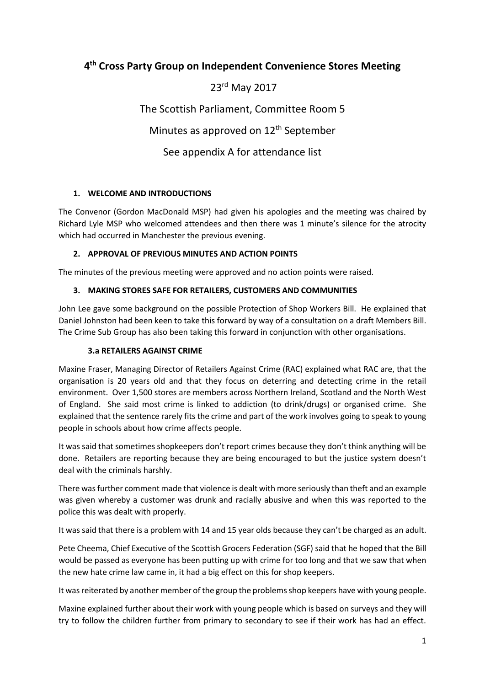# **4 th Cross Party Group on Independent Convenience Stores Meeting**

# 23rd May 2017

The Scottish Parliament, Committee Room 5

Minutes as approved on  $12<sup>th</sup>$  September

See appendix A for attendance list

# **1. WELCOME AND INTRODUCTIONS**

The Convenor (Gordon MacDonald MSP) had given his apologies and the meeting was chaired by Richard Lyle MSP who welcomed attendees and then there was 1 minute's silence for the atrocity which had occurred in Manchester the previous evening.

# **2. APPROVAL OF PREVIOUS MINUTES AND ACTION POINTS**

The minutes of the previous meeting were approved and no action points were raised.

# **3. MAKING STORES SAFE FOR RETAILERS, CUSTOMERS AND COMMUNITIES**

John Lee gave some background on the possible Protection of Shop Workers Bill. He explained that Daniel Johnston had been keen to take this forward by way of a consultation on a draft Members Bill. The Crime Sub Group has also been taking this forward in conjunction with other organisations.

#### **3.a RETAILERS AGAINST CRIME**

Maxine Fraser, Managing Director of Retailers Against Crime (RAC) explained what RAC are, that the organisation is 20 years old and that they focus on deterring and detecting crime in the retail environment. Over 1,500 stores are members across Northern Ireland, Scotland and the North West of England. She said most crime is linked to addiction (to drink/drugs) or organised crime. She explained that the sentence rarely fits the crime and part of the work involves going to speak to young people in schools about how crime affects people.

It was said that sometimes shopkeepers don't report crimes because they don't think anything will be done. Retailers are reporting because they are being encouraged to but the justice system doesn't deal with the criminals harshly.

There was further comment made that violence is dealt with more seriously than theft and an example was given whereby a customer was drunk and racially abusive and when this was reported to the police this was dealt with properly.

It was said that there is a problem with 14 and 15 year olds because they can't be charged as an adult.

Pete Cheema, Chief Executive of the Scottish Grocers Federation (SGF) said that he hoped that the Bill would be passed as everyone has been putting up with crime for too long and that we saw that when the new hate crime law came in, it had a big effect on this for shop keepers.

It was reiterated by another member of the group the problems shop keepers have with young people.

Maxine explained further about their work with young people which is based on surveys and they will try to follow the children further from primary to secondary to see if their work has had an effect.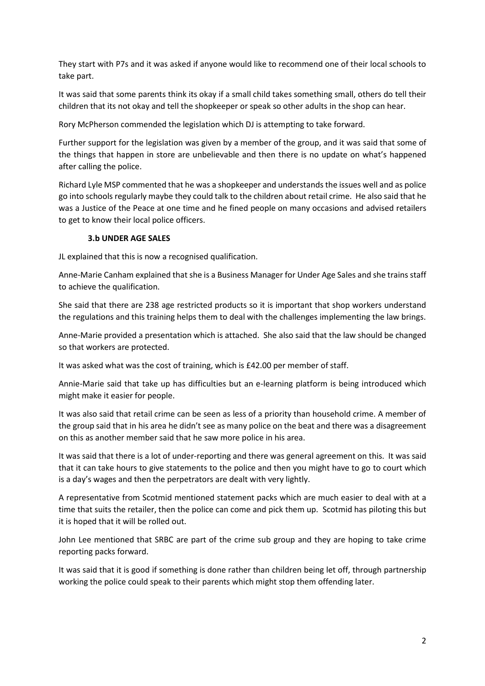They start with P7s and it was asked if anyone would like to recommend one of their local schools to take part.

It was said that some parents think its okay if a small child takes something small, others do tell their children that its not okay and tell the shopkeeper or speak so other adults in the shop can hear.

Rory McPherson commended the legislation which DJ is attempting to take forward.

Further support for the legislation was given by a member of the group, and it was said that some of the things that happen in store are unbelievable and then there is no update on what's happened after calling the police.

Richard Lyle MSP commented that he was a shopkeeper and understands the issues well and as police go into schools regularly maybe they could talk to the children about retail crime. He also said that he was a Justice of the Peace at one time and he fined people on many occasions and advised retailers to get to know their local police officers.

#### **3.b UNDER AGE SALES**

JL explained that this is now a recognised qualification.

Anne-Marie Canham explained that she is a Business Manager for Under Age Sales and she trains staff to achieve the qualification.

She said that there are 238 age restricted products so it is important that shop workers understand the regulations and this training helps them to deal with the challenges implementing the law brings.

Anne-Marie provided a presentation which is attached. She also said that the law should be changed so that workers are protected.

It was asked what was the cost of training, which is £42.00 per member of staff.

Annie-Marie said that take up has difficulties but an e-learning platform is being introduced which might make it easier for people.

It was also said that retail crime can be seen as less of a priority than household crime. A member of the group said that in his area he didn't see as many police on the beat and there was a disagreement on this as another member said that he saw more police in his area.

It was said that there is a lot of under-reporting and there was general agreement on this. It was said that it can take hours to give statements to the police and then you might have to go to court which is a day's wages and then the perpetrators are dealt with very lightly.

A representative from Scotmid mentioned statement packs which are much easier to deal with at a time that suits the retailer, then the police can come and pick them up. Scotmid has piloting this but it is hoped that it will be rolled out.

John Lee mentioned that SRBC are part of the crime sub group and they are hoping to take crime reporting packs forward.

It was said that it is good if something is done rather than children being let off, through partnership working the police could speak to their parents which might stop them offending later.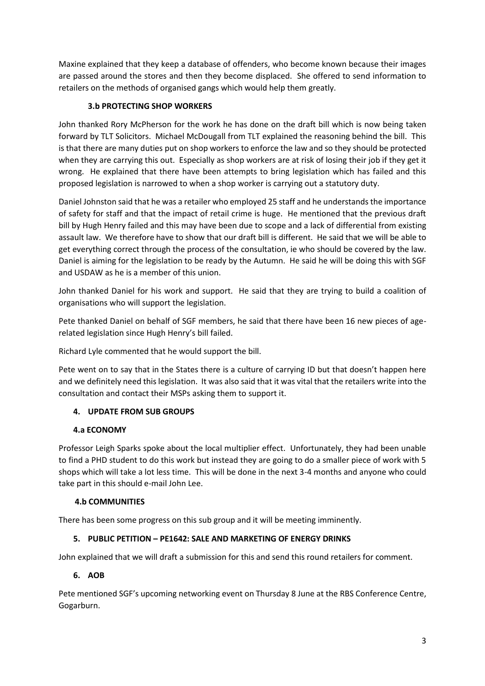Maxine explained that they keep a database of offenders, who become known because their images are passed around the stores and then they become displaced. She offered to send information to retailers on the methods of organised gangs which would help them greatly.

# **3.b PROTECTING SHOP WORKERS**

John thanked Rory McPherson for the work he has done on the draft bill which is now being taken forward by TLT Solicitors. Michael McDougall from TLT explained the reasoning behind the bill. This is that there are many duties put on shop workers to enforce the law and so they should be protected when they are carrying this out. Especially as shop workers are at risk of losing their job if they get it wrong. He explained that there have been attempts to bring legislation which has failed and this proposed legislation is narrowed to when a shop worker is carrying out a statutory duty.

Daniel Johnston said that he was a retailer who employed 25 staff and he understands the importance of safety for staff and that the impact of retail crime is huge. He mentioned that the previous draft bill by Hugh Henry failed and this may have been due to scope and a lack of differential from existing assault law. We therefore have to show that our draft bill is different. He said that we will be able to get everything correct through the process of the consultation, ie who should be covered by the law. Daniel is aiming for the legislation to be ready by the Autumn. He said he will be doing this with SGF and USDAW as he is a member of this union.

John thanked Daniel for his work and support. He said that they are trying to build a coalition of organisations who will support the legislation.

Pete thanked Daniel on behalf of SGF members, he said that there have been 16 new pieces of agerelated legislation since Hugh Henry's bill failed.

Richard Lyle commented that he would support the bill.

Pete went on to say that in the States there is a culture of carrying ID but that doesn't happen here and we definitely need this legislation. It was also said that it was vital that the retailers write into the consultation and contact their MSPs asking them to support it.

#### **4. UPDATE FROM SUB GROUPS**

#### **4.a ECONOMY**

Professor Leigh Sparks spoke about the local multiplier effect. Unfortunately, they had been unable to find a PHD student to do this work but instead they are going to do a smaller piece of work with 5 shops which will take a lot less time. This will be done in the next 3-4 months and anyone who could take part in this should e-mail John Lee.

#### **4.b COMMUNITIES**

There has been some progress on this sub group and it will be meeting imminently.

#### **5. PUBLIC PETITION – PE1642: SALE AND MARKETING OF ENERGY DRINKS**

John explained that we will draft a submission for this and send this round retailers for comment.

#### **6. AOB**

Pete mentioned SGF's upcoming networking event on Thursday 8 June at the RBS Conference Centre, Gogarburn.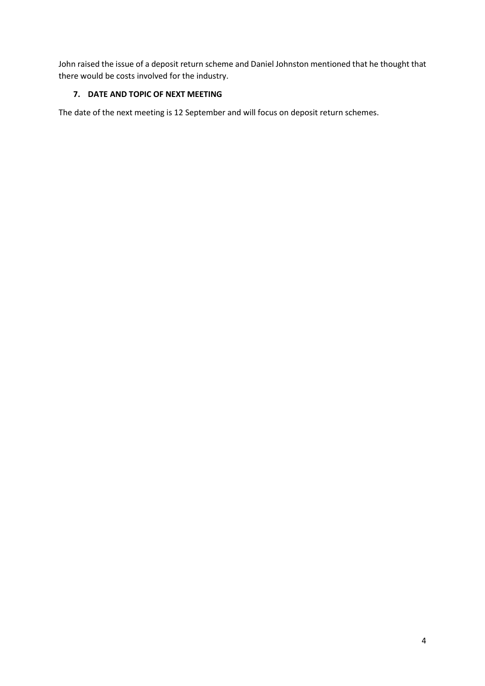John raised the issue of a deposit return scheme and Daniel Johnston mentioned that he thought that there would be costs involved for the industry.

# **7. DATE AND TOPIC OF NEXT MEETING**

The date of the next meeting is 12 September and will focus on deposit return schemes.